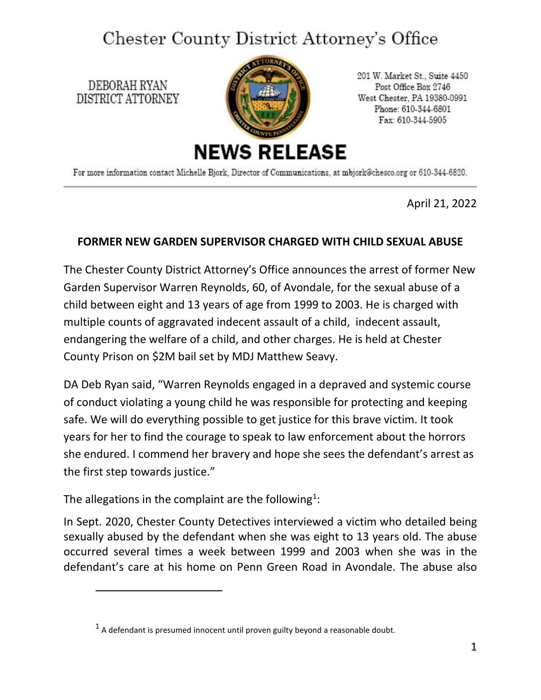## Chester County District Attorney's Office

DEBORAH RYAN DISTRICT ATTORNEY



201 W. Market St., Suite 4450 Post Office Box 2746 West Chester, PA 19380-0991 Phone: 610-344-6801 Fax: 610-344-5905

For more information contact Michelle Bjork, Director of Communications, at mbjork@chesco.org or 610-344-6820.

April 21, 2022

## **FORMER NEW GARDEN SUPERVISOR CHARGED WITH CHILD SEXUAL ABUSE**

The Chester County District Attorney's Office announces the arrest of former New Garden Supervisor Warren Reynolds, 60, of Avondale, for the sexual abuse of a child between eight and 13 years of age from 1999 to 2003. He is charged with multiple counts of aggravated indecent assault of a child, indecent assault, endangering the welfare of a child, and other charges. He is held at Chester County Prison on \$2M bail set by MDJ Matthew Seavy.

DA Deb Ryan said, "Warren Reynolds engaged in a depraved and systemic course of conduct violating a young child he was responsible for protecting and keeping safe. We will do everything possible to get justice for this brave victim. It took years for her to find the courage to speak to law enforcement about the horrors she endured. I commend her bravery and hope she sees the defendant's arrest as the first step towards justice."

The allegations in the complaint are the following<sup>[1](#page-0-0)</sup>:

In Sept. 2020, Chester County Detectives interviewed a victim who detailed being sexually abused by the defendant when she was eight to 13 years old. The abuse occurred several times a week between 1999 and 2003 when she was in the defendant's care at his home on Penn Green Road in Avondale. The abuse also

<span id="page-0-0"></span> $<sup>1</sup>$  A defendant is presumed innocent until proven guilty beyond a reasonable doubt.</sup>